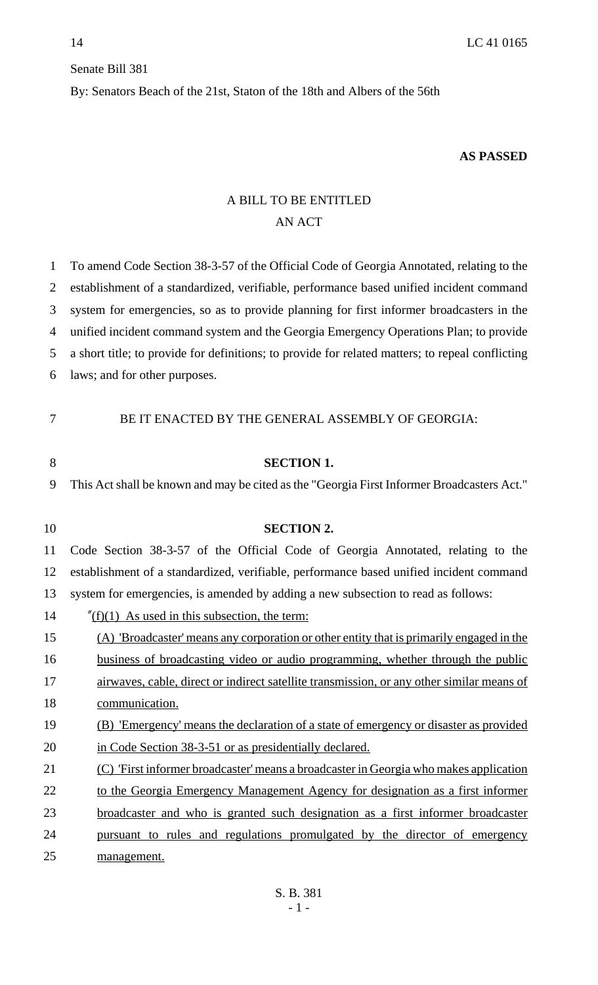## Senate Bill 381

By: Senators Beach of the 21st, Staton of the 18th and Albers of the 56th

## **AS PASSED**

## A BILL TO BE ENTITLED AN ACT

| 1  | To amend Code Section 38-3-57 of the Official Code of Georgia Annotated, relating to the         |
|----|--------------------------------------------------------------------------------------------------|
| 2  | establishment of a standardized, verifiable, performance based unified incident command          |
| 3  | system for emergencies, so as to provide planning for first informer broadcasters in the         |
| 4  | unified incident command system and the Georgia Emergency Operations Plan; to provide            |
| 5  | a short title; to provide for definitions; to provide for related matters; to repeal conflicting |
| 6  | laws; and for other purposes.                                                                    |
| 7  | BE IT ENACTED BY THE GENERAL ASSEMBLY OF GEORGIA:                                                |
| 8  | <b>SECTION 1.</b>                                                                                |
| 9  | This Act shall be known and may be cited as the "Georgia First Informer Broadcasters Act."       |
|    |                                                                                                  |
| 10 | <b>SECTION 2.</b>                                                                                |
| 11 | Code Section 38-3-57 of the Official Code of Georgia Annotated, relating to the                  |
| 12 | establishment of a standardized, verifiable, performance based unified incident command          |
| 13 | system for emergencies, is amended by adding a new subsection to read as follows:                |
| 14 | $\sqrt{\frac{f(1)}{1}}$ As used in this subsection, the term:                                    |
| 15 | (A) 'Broadcaster' means any corporation or other entity that is primarily engaged in the         |
| 16 | <u>business of broadcasting video or audio programming, whether through the public</u>           |
| 17 | airwaves, cable, direct or indirect satellite transmission, or any other similar means of        |
| 18 | communication.                                                                                   |
| 19 | (B) Emergency' means the declaration of a state of emergency or disaster as provided             |
| 20 | in Code Section 38-3-51 or as presidentially declared.                                           |
| 21 | (C) First informer broadcaster' means a broadcaster in Georgia who makes application             |
| 22 | to the Georgia Emergency Management Agency for designation as a first informer                   |
| 23 | broadcaster and who is granted such designation as a first informer broadcaster                  |
| 24 | pursuant to rules and regulations promulgated by the director of emergency                       |
| 25 | management.                                                                                      |